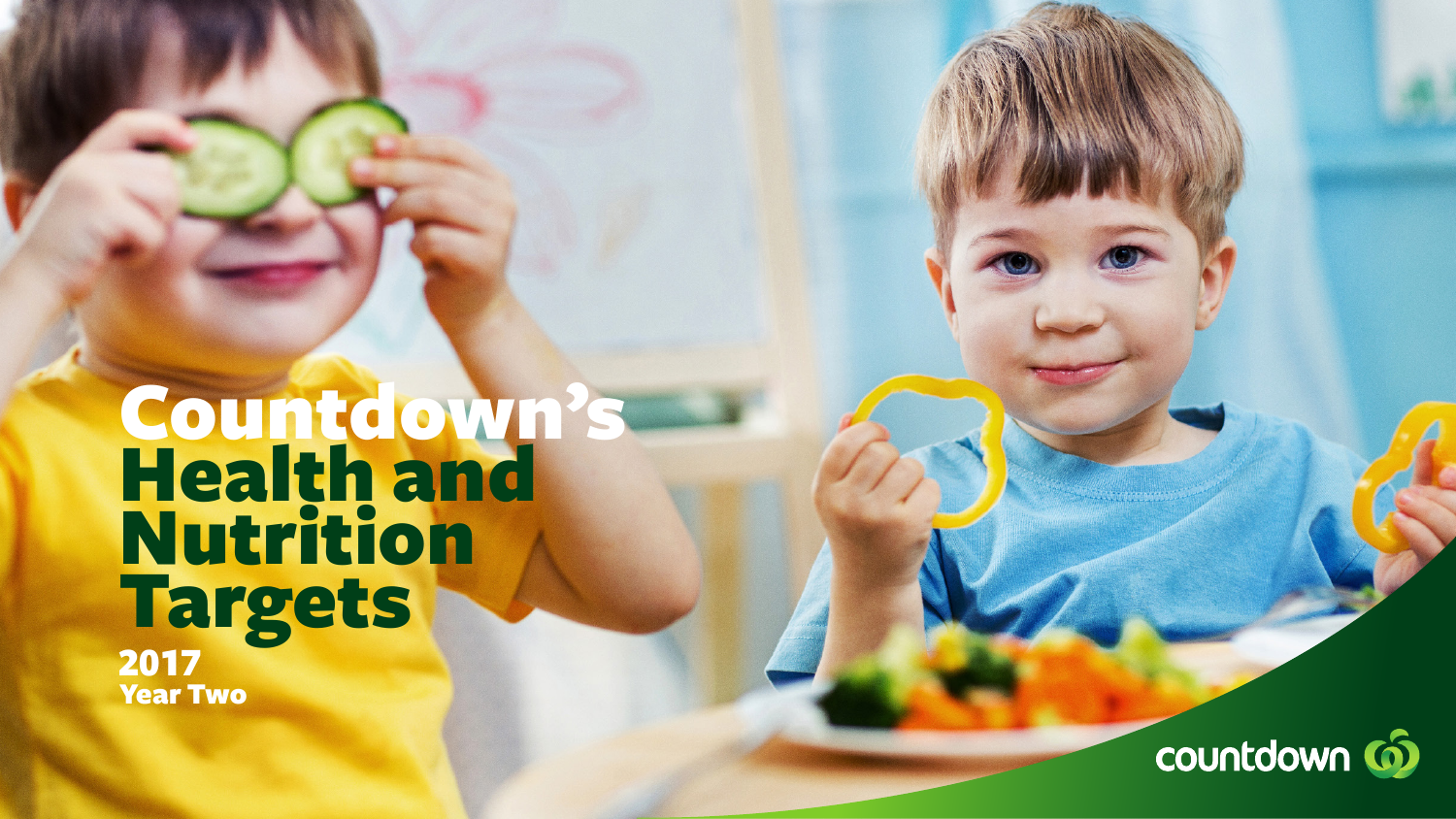# Countdown's Health and Nutrition Targets 2017 Year Two

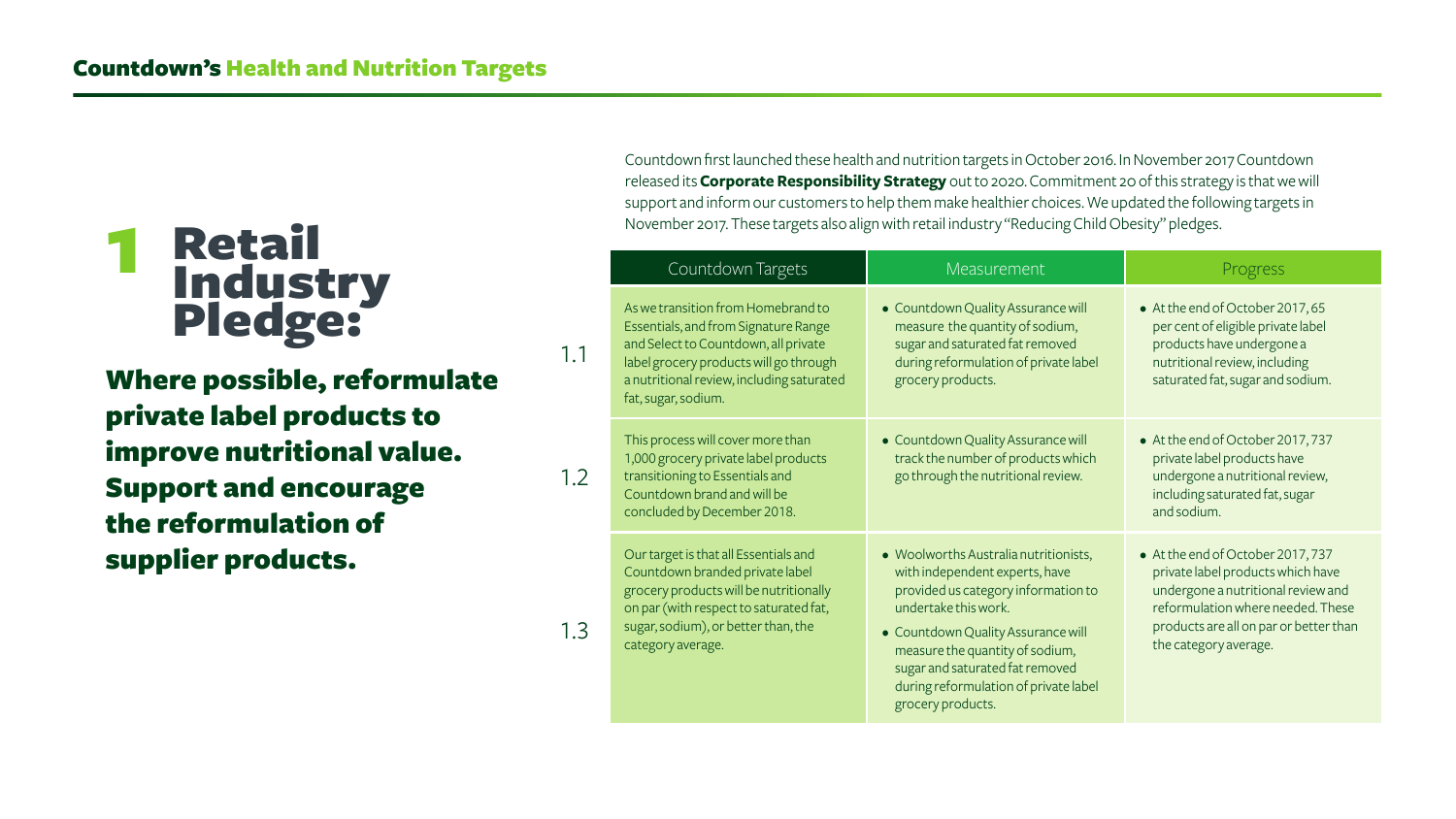## **1** Retail Industry Pledge:

|     | Countdown Targets                                                                                                                                                                                                                | <b>Measurement</b>                                                                                                                                                                                                                                                                                               | Progress                                                                                                                                                                                                             |
|-----|----------------------------------------------------------------------------------------------------------------------------------------------------------------------------------------------------------------------------------|------------------------------------------------------------------------------------------------------------------------------------------------------------------------------------------------------------------------------------------------------------------------------------------------------------------|----------------------------------------------------------------------------------------------------------------------------------------------------------------------------------------------------------------------|
| 1.1 | As we transition from Homebrand to<br>Essentials, and from Signature Range<br>and Select to Countdown, all private<br>label grocery products will go through<br>a nutritional review, including saturated<br>fat, sugar, sodium. | • Countdown Quality Assurance will<br>measure the quantity of sodium,<br>sugar and saturated fat removed<br>during reformulation of private label<br>grocery products.                                                                                                                                           | • At the end of October 2017, 65<br>per cent of eligible private label<br>products have undergone a<br>nutritional review, including<br>saturated fat, sugar and sodium.                                             |
| 1.2 | This process will cover more than<br>1,000 grocery private label products<br>transitioning to Essentials and<br>Countdown brand and will be<br>concluded by December 2018.                                                       | • Countdown Quality Assurance will<br>track the number of products which<br>go through the nutritional review.                                                                                                                                                                                                   | • At the end of October 2017, 737<br>private label products have<br>undergone a nutritional review,<br>including saturated fat, sugar<br>and sodium.                                                                 |
| 1.3 | Our target is that all Essentials and<br>Countdown branded private label<br>grocery products will be nutritionally<br>on par (with respect to saturated fat,<br>sugar, sodium), or better than, the<br>category average.         | • Woolworths Australia nutritionists,<br>with independent experts, have<br>provided us category information to<br>undertake this work.<br>• Countdown Quality Assurance will<br>measure the quantity of sodium,<br>sugar and saturated fat removed<br>during reformulation of private label<br>grocery products. | • At the end of October 2017, 737<br>private label products which have<br>undergone a nutritional review and<br>reformulation where needed. These<br>products are all on par or better than<br>the category average. |

Where possible, reformulate private label products to improve nutritional value. Support and encourage the reformulation of supplier products.

Countdown first launched these health and nutrition targets in October 2016. In November 2017 Countdown released its **[Corporate Responsibility Strategy](https://www.countdown.co.nz/community-environment/corporate-responsibility)** out to 2020. Commitment 20 of this strategy is that we will support and inform our customers to help them make healthier choices. We updated the following targets in November 2017. These targets also align with retail industry "Reducing Child Obesity" pledges.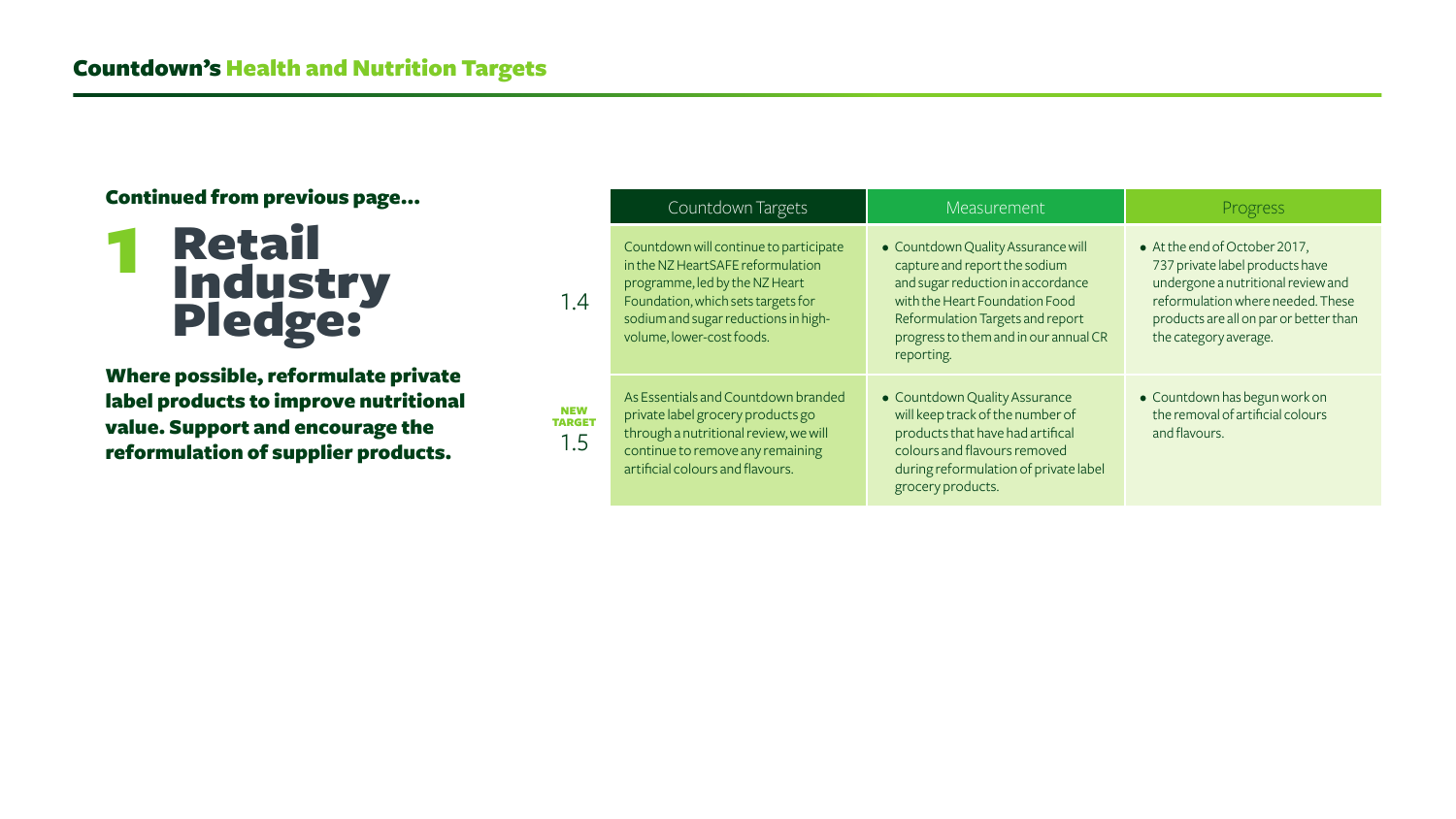Where possible, reformulate private label products to improve nutritional value. Support and encourage the reformulation of supplier products.



|                                    | Countdown Targets                                                                                                                                                                                                        | <b>Measurement</b>                                                                                                                                                                                                                    | Progress                                                                                                                                                                                                       |
|------------------------------------|--------------------------------------------------------------------------------------------------------------------------------------------------------------------------------------------------------------------------|---------------------------------------------------------------------------------------------------------------------------------------------------------------------------------------------------------------------------------------|----------------------------------------------------------------------------------------------------------------------------------------------------------------------------------------------------------------|
| 1.4                                | Countdown will continue to participate<br>in the NZ HeartSAFE reformulation<br>programme, led by the NZ Heart<br>Foundation, which sets targets for<br>sodium and sugar reductions in high-<br>volume, lower-cost foods. | • Countdown Quality Assurance will<br>capture and report the sodium<br>and sugar reduction in accordance<br>with the Heart Foundation Food<br>Reformulation Targets and report<br>progress to them and in our annual CR<br>reporting. | • At the end of October 2017,<br>737 private label products have<br>undergone a nutritional review and<br>reformulation where needed. These<br>products are all on par or better than<br>the category average. |
| <b>NEW</b><br><b>TARGET</b><br>1.5 | As Essentials and Countdown branded<br>private label grocery products go<br>through a nutritional review, we will<br>continue to remove any remaining<br>artificial colours and flavours.                                | • Countdown Quality Assurance<br>will keep track of the number of<br>products that have had artifical<br>colours and flavours removed<br>during reformulation of private label<br>grocery products.                                   | • Countdown has begun work on<br>the removal of artificial colours<br>and flavours.                                                                                                                            |

### Continued from previous page...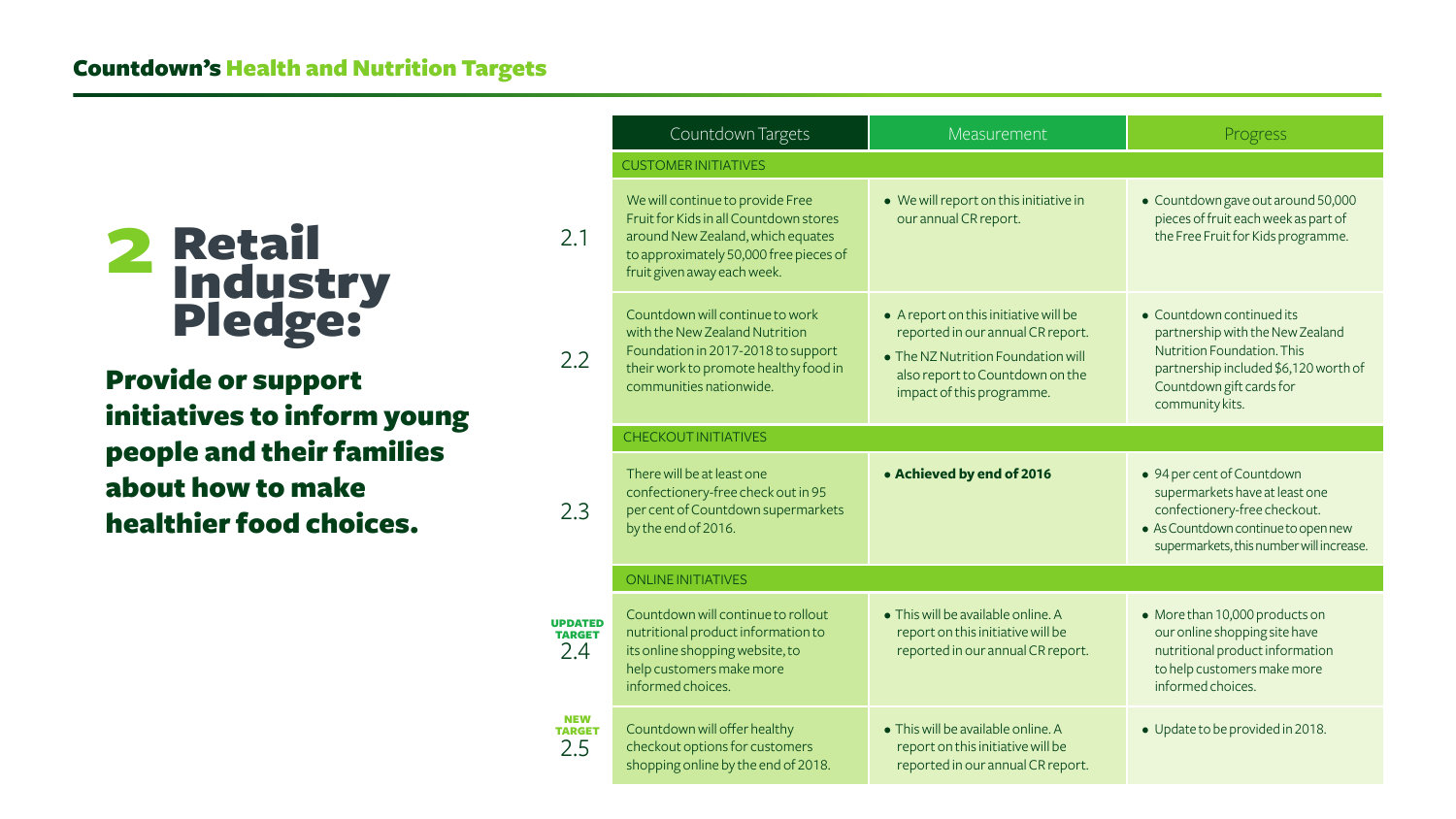Provide or support initiatives to inform young people and their families about how to make healthier food choices.

|                                        | Countdown Targets                                                                                                                                                                                                                                                                                                        | Measurem                                                                          |  |
|----------------------------------------|--------------------------------------------------------------------------------------------------------------------------------------------------------------------------------------------------------------------------------------------------------------------------------------------------------------------------|-----------------------------------------------------------------------------------|--|
|                                        | <b>CUSTOMER INITIATIVES</b>                                                                                                                                                                                                                                                                                              |                                                                                   |  |
| 2.1                                    | We will continue to provide Free<br>• We will report on this<br>Fruit for Kids in all Countdown stores<br>our annual CR report.<br>around New Zealand, which equates<br>to approximately 50,000 free pieces of<br>fruit given away each week.                                                                            |                                                                                   |  |
| 2.2                                    | Countdown will continue to work<br>$\bullet$ A report on this initiat<br>reported in our annua<br>with the New Zealand Nutrition<br>Foundation in 2017-2018 to support<br>• The NZ Nutrition Four<br>their work to promote healthy food in<br>also report to Countd<br>communities nationwide.<br>impact of this progran |                                                                                   |  |
|                                        | <b>CHECKOUT INITIATIVES</b>                                                                                                                                                                                                                                                                                              |                                                                                   |  |
| 2.3                                    | There will be at least one<br>confectionery-free check out in 95<br>per cent of Countdown supermarkets<br>by the end of 2016.                                                                                                                                                                                            | · Achieved by end of                                                              |  |
|                                        | <b>ONLINE INITIATIVES</b>                                                                                                                                                                                                                                                                                                |                                                                                   |  |
| <b>UPDATED</b><br><b>TARGET</b><br>2.4 | Countdown will continue to rollout<br>nutritional product information to<br>its online shopping website, to<br>help customers make more<br>informed choices.                                                                                                                                                             | • This will be available or<br>report on this initiative<br>reported in our annua |  |
| NEW<br>TARGET<br>2.5                   | Countdown will offer healthy<br>checkout options for customers<br>shopping online by the end of 2018.                                                                                                                                                                                                                    | • This will be available or<br>report on this initiative<br>reported in our annua |  |

| Countdown Targets                                                                                                                                  | Measurement                                                                                                                                                                      | Progress                                                                                                                                                                            |  |
|----------------------------------------------------------------------------------------------------------------------------------------------------|----------------------------------------------------------------------------------------------------------------------------------------------------------------------------------|-------------------------------------------------------------------------------------------------------------------------------------------------------------------------------------|--|
| <b>JER INITIATIVES</b>                                                                                                                             |                                                                                                                                                                                  |                                                                                                                                                                                     |  |
| continue to provide Free<br>r Kids in all Countdown stores<br>New Zealand, which equates<br>oximately 50,000 free pieces of<br>en away each week.  | • We will report on this initiative in<br>our annual CR report.                                                                                                                  | • Countdown gave out around 50,000<br>pieces of fruit each week as part of<br>the Free Fruit for Kids programme.                                                                    |  |
| own will continue to work<br><b>New Zealand Nutrition</b><br>tion in 2017-2018 to support<br>ork to promote healthy food in<br>inities nationwide. | • A report on this initiative will be<br>reported in our annual CR report.<br>• The NZ Nutrition Foundation will<br>also report to Countdown on the<br>impact of this programme. | • Countdown continued its<br>partnership with the New Zealand<br>Nutrition Foundation. This<br>partnership included \$6,120 worth of<br>Countdown gift cards for<br>community kits. |  |
| <b>OUT INITIATIVES</b>                                                                                                                             |                                                                                                                                                                                  |                                                                                                                                                                                     |  |
| vill be at least one<br>ionery-free check out in 95<br>t of Countdown supermarkets<br>nd of 2016.                                                  | • Achieved by end of 2016                                                                                                                                                        | • 94 per cent of Countdown<br>supermarkets have at least one<br>confectionery-free checkout.<br>· As Countdown continue to open new<br>supermarkets, this number will increase.     |  |
| <b>EINITIATIVES</b>                                                                                                                                |                                                                                                                                                                                  |                                                                                                                                                                                     |  |
| own will continue to rollout<br>nal product information to<br>e shopping website, to<br>stomers make more<br>ed choices.                           | • This will be available online. A<br>report on this initiative will be<br>reported in our annual CR report.                                                                     | • More than 10,000 products on<br>our online shopping site have<br>nutritional product information<br>to help customers make more<br>informed choices.                              |  |
| own will offer healthy<br>ut options for customers<br>ng online by the end of 2018.                                                                | • This will be available online. A<br>report on this initiative will be<br>reported in our annual CR report.                                                                     | • Update to be provided in 2018.                                                                                                                                                    |  |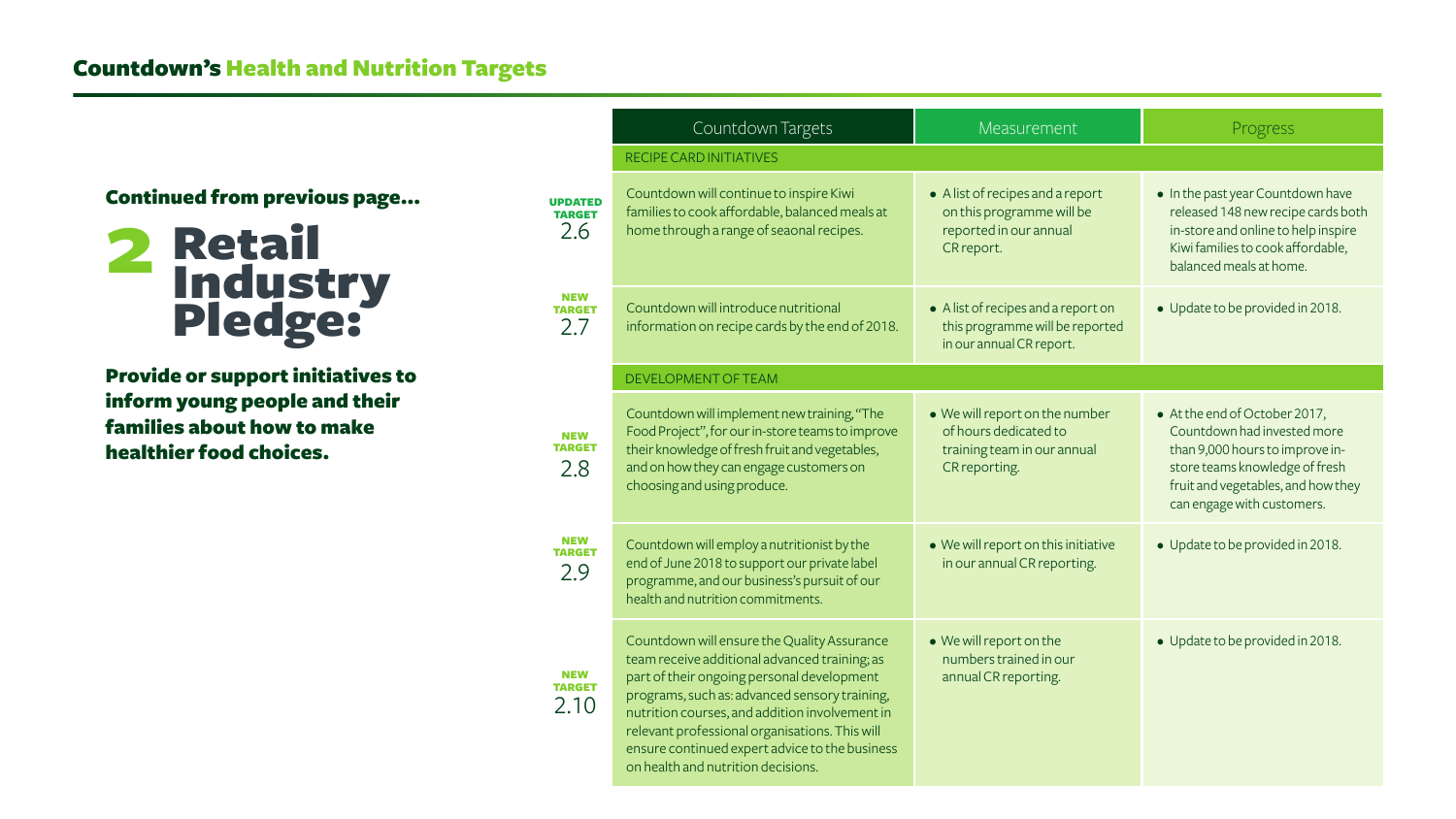Provide or support initiatives to inform young people and their families about how to make healthier food choices.



### Countdown's Health and Nutrition Targets

|                                        | Countdown Targets                                                                                                                                                                                                                                                                                                                                                                       | <b>Measurement</b>                                                                                      | Progress                                                                                                                                                                                              |
|----------------------------------------|-----------------------------------------------------------------------------------------------------------------------------------------------------------------------------------------------------------------------------------------------------------------------------------------------------------------------------------------------------------------------------------------|---------------------------------------------------------------------------------------------------------|-------------------------------------------------------------------------------------------------------------------------------------------------------------------------------------------------------|
|                                        | <b>RECIPE CARD INITIATIVES</b>                                                                                                                                                                                                                                                                                                                                                          |                                                                                                         |                                                                                                                                                                                                       |
| <b>UPDATED</b><br><b>TARGET</b><br>2.6 | Countdown will continue to inspire Kiwi<br>families to cook affordable, balanced meals at<br>home through a range of seaonal recipes.                                                                                                                                                                                                                                                   | • A list of recipes and a report<br>on this programme will be<br>reported in our annual<br>CR report.   | • In the past year Countdown have<br>released 148 new recipe cards both<br>in-store and online to help inspire<br>Kiwi families to cook affordable,<br>balanced meals at home.                        |
| <b>NEW</b><br><b>TARGET</b><br>2.7     | Countdown will introduce nutritional<br>information on recipe cards by the end of 2018.                                                                                                                                                                                                                                                                                                 | • A list of recipes and a report on<br>this programme will be reported<br>in our annual CR report.      | • Update to be provided in 2018.                                                                                                                                                                      |
|                                        | DEVELOPMENT OF TEAM                                                                                                                                                                                                                                                                                                                                                                     |                                                                                                         |                                                                                                                                                                                                       |
| <b>NEW</b><br><b>TARGET</b><br>2.8     | Countdown will implement new training, "The<br>Food Project", for our in-store teams to improve<br>their knowledge of fresh fruit and vegetables,<br>and on how they can engage customers on<br>choosing and using produce.                                                                                                                                                             | • We will report on the number<br>of hours dedicated to<br>training team in our annual<br>CR reporting. | • At the end of October 2017,<br>Countdown had invested more<br>than 9,000 hours to improve in-<br>store teams knowledge of fresh<br>fruit and vegetables, and how they<br>can engage with customers. |
| <b>NEW</b><br><b>TARGET</b><br>2.9     | Countdown will employ a nutritionist by the<br>end of June 2018 to support our private label<br>programme, and our business's pursuit of our<br>health and nutrition commitments.                                                                                                                                                                                                       | • We will report on this initiative<br>in our annual CR reporting.                                      | • Update to be provided in 2018.                                                                                                                                                                      |
| <b>NEW</b><br><b>TARGET</b><br>2.10    | Countdown will ensure the Quality Assurance<br>team receive additional advanced training; as<br>part of their ongoing personal development<br>programs, such as: advanced sensory training,<br>nutrition courses, and addition involvement in<br>relevant professional organisations. This will<br>ensure continued expert advice to the business<br>on health and nutrition decisions. | • We will report on the<br>numbers trained in our<br>annual CR reporting.                               | • Update to be provided in 2018.                                                                                                                                                                      |

#### Continued from previous page...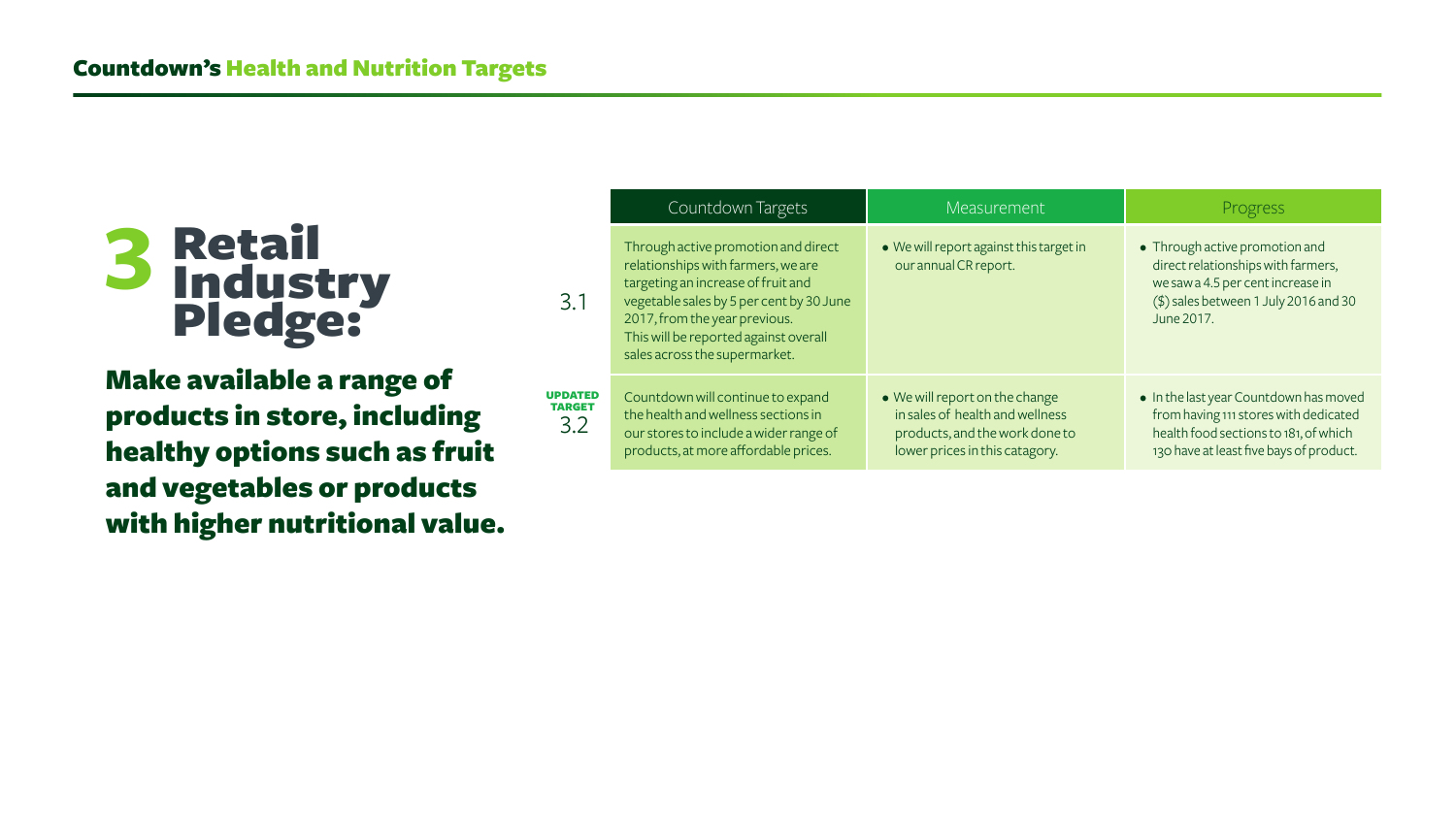Make available a range of products in store, including healthy options such as fruit and vegetables or products with higher nutritional value.

|                                        | Countdown Targets                                                                                                                                                                                                                                                      | Measurement                                                                                                                           | Progress                                                                                                                                                            |
|----------------------------------------|------------------------------------------------------------------------------------------------------------------------------------------------------------------------------------------------------------------------------------------------------------------------|---------------------------------------------------------------------------------------------------------------------------------------|---------------------------------------------------------------------------------------------------------------------------------------------------------------------|
| 3.1                                    | Through active promotion and direct<br>relationships with farmers, we are<br>targeting an increase of fruit and<br>vegetable sales by 5 per cent by 30 June<br>2017, from the year previous.<br>This will be reported against overall<br>sales across the supermarket. | • We will report against this target in<br>our annual CR report.                                                                      | • Through active promotion and<br>direct relationships with farmers,<br>we saw a 4.5 per cent increase in<br>(\$) sales between 1 July 2016 and 30<br>June 2017.    |
| <b>UPDATED</b><br><b>TARGET</b><br>3.2 | Countdown will continue to expand<br>the health and wellness sections in<br>our stores to include a wider range of<br>products, at more affordable prices.                                                                                                             | • We will report on the change<br>in sales of health and wellness<br>products, and the work done to<br>lower prices in this catagory. | • In the last year Countdown has moved<br>from having 111 stores with dedicated<br>health food sections to 181, of which<br>130 have at least five bays of product. |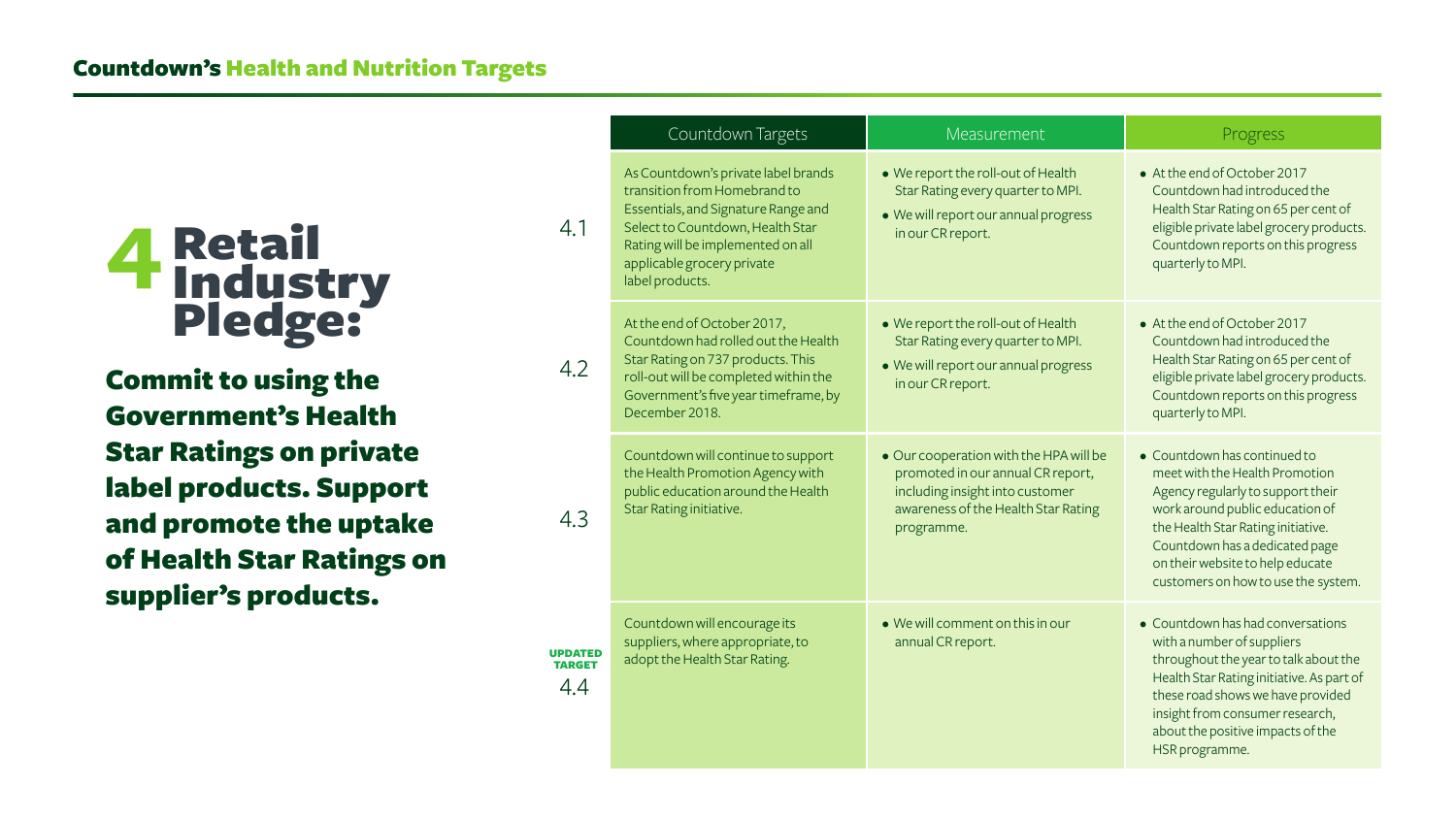Commit to using the Government's Health Star Ratings on private label products. Support and promote the uptake of Health Star Ratings on supplier's products.

|                                 | Countdown Targets                                                                                                                                                                                                                    | Measur                                                                                               |
|---------------------------------|--------------------------------------------------------------------------------------------------------------------------------------------------------------------------------------------------------------------------------------|------------------------------------------------------------------------------------------------------|
| 4.1                             | As Countdown's private label brands<br>transition from Homebrand to<br>Essentials, and Signature Range and<br>Select to Countdown, Health Star<br>Rating will be implemented on all<br>applicable grocery private<br>label products. | • We report the roll<br>Star Rating every<br>• We will report our<br>in our CR report.               |
| 4.2                             | At the end of October 2017,<br>Countdown had rolled out the Health<br>Star Rating on 737 products. This<br>roll-out will be completed within the<br>Government's five year timeframe, by<br>December 2018.                           | • We report the roll<br>Star Rating every<br>• We will report our<br>in our CR report.               |
| 4.3                             | Countdown will continue to support<br>the Health Promotion Agency with<br>public education around the Health<br>Star Rating initiative.                                                                                              | • Our cooperation v<br>promoted in our a<br>including insight in<br>awareness of the I<br>programme. |
| <b>UPDATED</b><br>TARGET<br>4.4 | Countdown will encourage its<br>suppliers, where appropriate, to<br>adopt the Health Star Rating.                                                                                                                                    | • We will comment<br>annual CR report.                                                               |

| Countdown Targets                                                                                                                                                                 | Measurement                                                                                                                                                         | Progress                                                                                                                                                                                                                                                                                  |
|-----------------------------------------------------------------------------------------------------------------------------------------------------------------------------------|---------------------------------------------------------------------------------------------------------------------------------------------------------------------|-------------------------------------------------------------------------------------------------------------------------------------------------------------------------------------------------------------------------------------------------------------------------------------------|
| ntdown's private label brands<br>on from Homebrand to<br>als, and Signature Range and<br>o Countdown, Health Star<br>vill be implemented on all<br>ple grocery private<br>oducts. | • We report the roll-out of Health<br>Star Rating every quarter to MPI.<br>• We will report our annual progress<br>in our CR report.                                | • At the end of October 2017<br>Countdown had introduced the<br>Health Star Rating on 65 per cent of<br>eligible private label grocery products.<br>Countdown reports on this progress<br>quarterly to MPI.                                                                               |
| nd of October 2017,<br>own had rolled out the Health<br>ing on 737 products. This<br>will be completed within the<br>ment's five year timeframe, by<br>ber 2018.                  | • We report the roll-out of Health<br>Star Rating every quarter to MPI.<br>• We will report our annual progress<br>in our CR report.                                | • At the end of October 2017<br>Countdown had introduced the<br>Health Star Rating on 65 per cent of<br>eligible private label grocery products.<br>Countdown reports on this progress<br>quarterly to MPI.                                                                               |
| own will continue to support<br>Ith Promotion Agency with<br>ducation around the Health<br>ing initiative.                                                                        | . Our cooperation with the HPA will be<br>promoted in our annual CR report,<br>including insight into customer<br>awareness of the Health Star Rating<br>programme. | • Countdown has continued to<br>meet with the Health Promotion<br>Agency regularly to support their<br>work around public education of<br>the Health Star Rating initiative.<br>Countdown has a dedicated page<br>on their website to help educate<br>customers on how to use the system. |
| own will encourage its<br>rs, where appropriate, to<br>he Health Star Rating.                                                                                                     | $\bullet$ We will comment on this in our<br>annual CR report.                                                                                                       | • Countdown has had conversations<br>with a number of suppliers<br>throughout the year to talk about the<br>Health Star Rating initiative. As part of<br>these road shows we have provided<br>insight from consumer research,<br>about the positive impacts of the<br>HSR programme.      |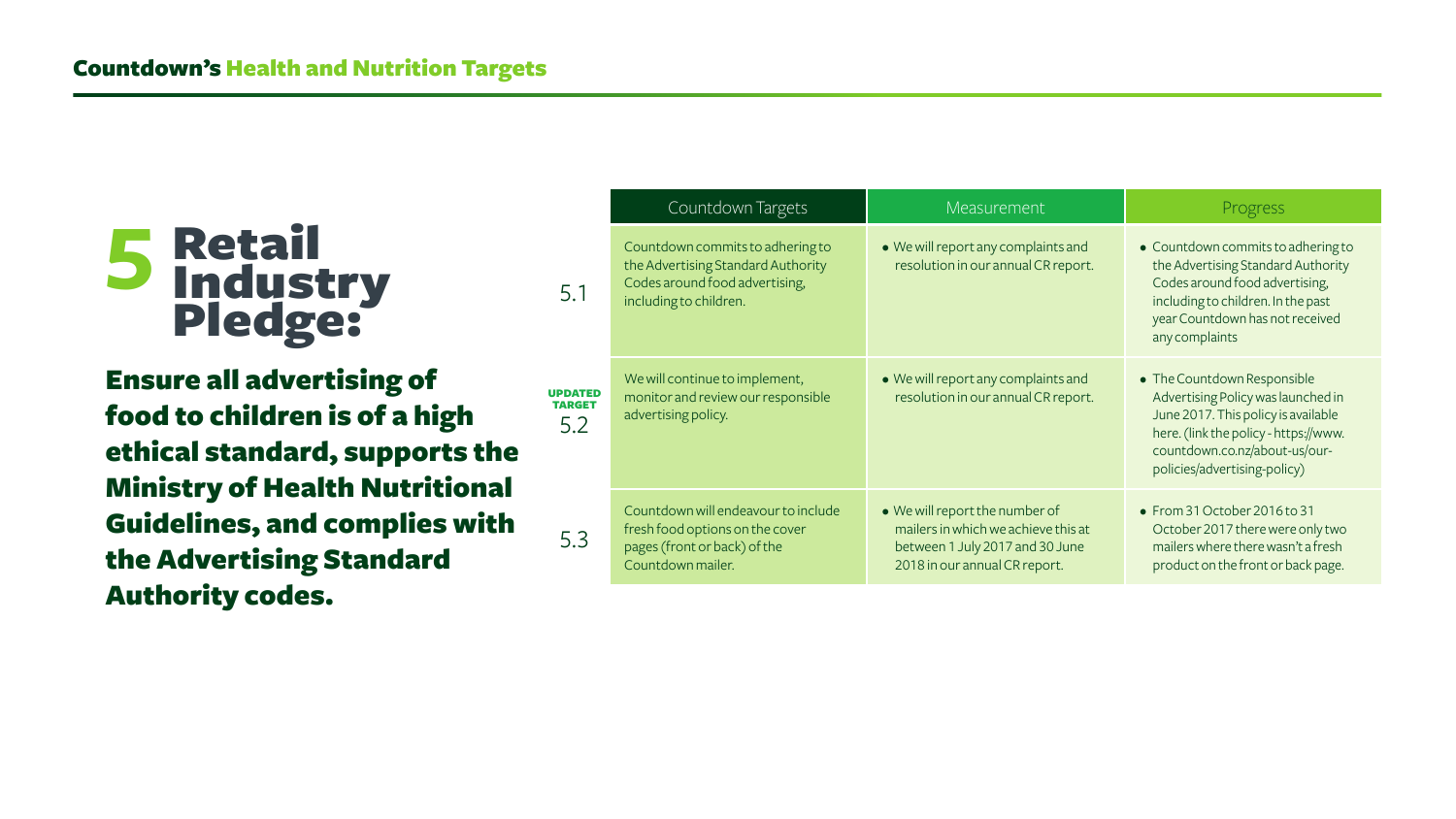Ensure all advertising of food to children is of a high ethical standard, supports the Ministry of Health Nutritional Guidelines, and complies with the Advertising Standard Authority codes.

|                                        | Countdown Targets                                                                                                                  | <b>Measurement</b>                                                                                                                        | Progress                                                                                                                                                                                                           |
|----------------------------------------|------------------------------------------------------------------------------------------------------------------------------------|-------------------------------------------------------------------------------------------------------------------------------------------|--------------------------------------------------------------------------------------------------------------------------------------------------------------------------------------------------------------------|
| 5.1                                    | Countdown commits to adhering to<br>the Advertising Standard Authority<br>Codes around food advertising,<br>including to children. | • We will report any complaints and<br>resolution in our annual CR report.                                                                | • Countdown commits to adhering to<br>the Advertising Standard Authority<br>Codes around food advertising,<br>including to children. In the past<br>year Countdown has not received<br>any complaints              |
| <b>UPDATED</b><br><b>TARGET</b><br>5.2 | We will continue to implement,<br>monitor and review our responsible<br>advertising policy.                                        | • We will report any complaints and<br>resolution in our annual CR report.                                                                | • The Countdown Responsible<br>Advertising Policy was launched in<br>June 2017. This policy is available<br>here. (link the policy - https://www.<br>countdown.co.nz/about-us/our-<br>policies/advertising-policy) |
| 5.3                                    | Countdown will endeavour to include<br>fresh food options on the cover<br>pages (front or back) of the<br>Countdown mailer.        | • We will report the number of<br>mailers in which we achieve this at<br>between 1 July 2017 and 30 June<br>2018 in our annual CR report. | • From 31 October 2016 to 31<br>October 2017 there were only two<br>mailers where there wasn't a fresh<br>product on the front or back page.                                                                       |